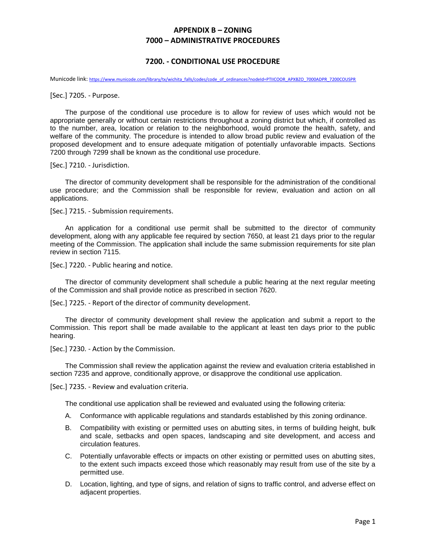## **APPENDIX B – ZONING 7000 – ADMINISTRATIVE PROCEDURES**

## **7200. - CONDITIONAL USE PROCEDURE**

Municode link: [https://www.municode.com/library/tx/wichita\\_falls/codes/code\\_of\\_ordinances?nodeId=PTIICOOR\\_APXBZO\\_7000ADPR\\_7200COUSPR](https://www.municode.com/library/tx/wichita_falls/codes/code_of_ordinances?nodeId=PTIICOOR_APXBZO_7000ADPR_7200COUSPR)

[Sec.] 7205. - Purpose.

The purpose of the conditional use procedure is to allow for review of uses which would not be appropriate generally or without certain restrictions throughout a zoning district but which, if controlled as to the number, area, location or relation to the neighborhood, would promote the health, safety, and welfare of the community. The procedure is intended to allow broad public review and evaluation of the proposed development and to ensure adequate mitigation of potentially unfavorable impacts. Sections 7200 through 7299 shall be known as the conditional use procedure.

[Sec.] 7210. - Jurisdiction.

The director of community development shall be responsible for the administration of the conditional use procedure; and the Commission shall be responsible for review, evaluation and action on all applications.

[Sec.] 7215. - Submission requirements.

An application for a conditional use permit shall be submitted to the director of community development, along with any applicable fee required by section 7650, at least 21 days prior to the regular meeting of the Commission. The application shall include the same submission requirements for site plan review in section 7115.

[Sec.] 7220. - Public hearing and notice.

The director of community development shall schedule a public hearing at the next regular meeting of the Commission and shall provide notice as prescribed in section 7620.

[Sec.] 7225. - Report of the director of community development.

The director of community development shall review the application and submit a report to the Commission. This report shall be made available to the applicant at least ten days prior to the public hearing.

[Sec.] 7230. - Action by the Commission.

The Commission shall review the application against the review and evaluation criteria established in section 7235 and approve, conditionally approve, or disapprove the conditional use application.

[Sec.] 7235. - Review and evaluation criteria.

The conditional use application shall be reviewed and evaluated using the following criteria:

- A. Conformance with applicable regulations and standards established by this zoning ordinance.
- B. Compatibility with existing or permitted uses on abutting sites, in terms of building height, bulk and scale, setbacks and open spaces, landscaping and site development, and access and circulation features.
- C. Potentially unfavorable effects or impacts on other existing or permitted uses on abutting sites, to the extent such impacts exceed those which reasonably may result from use of the site by a permitted use.
- D. Location, lighting, and type of signs, and relation of signs to traffic control, and adverse effect on adjacent properties.